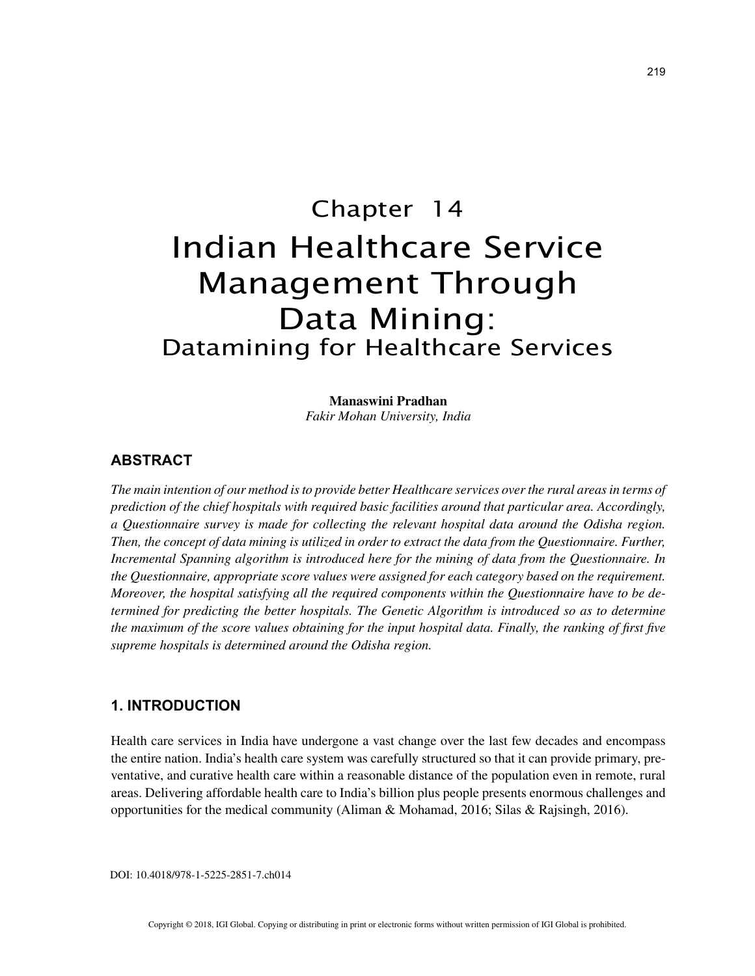# Chapter 14 Indian Healthcare Service Management Through Data Mining: Datamining for Healthcare Services

**Manaswini Pradhan** *Fakir Mohan University, India*

# **ABSTRACT**

*The main intention of our method is to provide better Healthcare services over the rural areas in terms of prediction of the chief hospitals with required basic facilities around that particular area. Accordingly, a Questionnaire survey is made for collecting the relevant hospital data around the Odisha region. Then, the concept of data mining is utilized in order to extract the data from the Questionnaire. Further, Incremental Spanning algorithm is introduced here for the mining of data from the Questionnaire. In the Questionnaire, appropriate score values were assigned for each category based on the requirement. Moreover, the hospital satisfying all the required components within the Questionnaire have to be determined for predicting the better hospitals. The Genetic Algorithm is introduced so as to determine the maximum of the score values obtaining for the input hospital data. Finally, the ranking of first five supreme hospitals is determined around the Odisha region.*

## **1. INTRODUCTION**

Health care services in India have undergone a vast change over the last few decades and encompass the entire nation. India's health care system was carefully structured so that it can provide primary, preventative, and curative health care within a reasonable distance of the population even in remote, rural areas. Delivering affordable health care to India's billion plus people presents enormous challenges and opportunities for the medical community (Aliman & Mohamad, 2016; Silas & Rajsingh, 2016).

DOI: 10.4018/978-1-5225-2851-7.ch014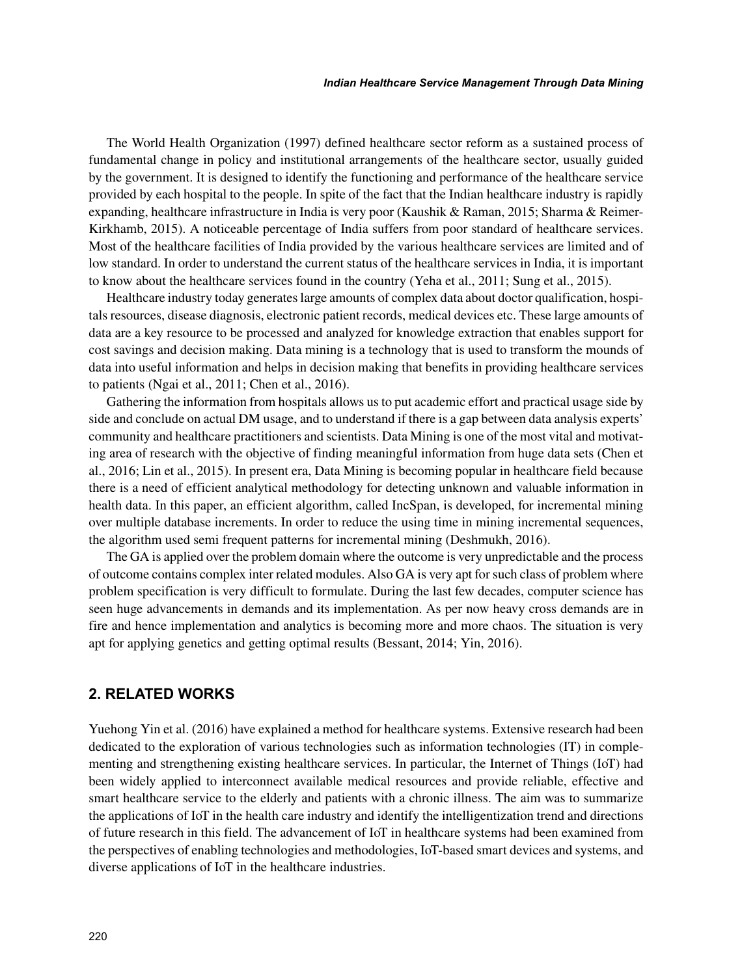The World Health Organization (1997) defined healthcare sector reform as a sustained process of fundamental change in policy and institutional arrangements of the healthcare sector, usually guided by the government. It is designed to identify the functioning and performance of the healthcare service provided by each hospital to the people. In spite of the fact that the Indian healthcare industry is rapidly expanding, healthcare infrastructure in India is very poor (Kaushik & Raman, 2015; Sharma & Reimer-Kirkhamb, 2015). A noticeable percentage of India suffers from poor standard of healthcare services. Most of the healthcare facilities of India provided by the various healthcare services are limited and of low standard. In order to understand the current status of the healthcare services in India, it is important to know about the healthcare services found in the country (Yeha et al., 2011; Sung et al., 2015).

Healthcare industry today generates large amounts of complex data about doctor qualification, hospitals resources, disease diagnosis, electronic patient records, medical devices etc. These large amounts of data are a key resource to be processed and analyzed for knowledge extraction that enables support for cost savings and decision making. Data mining is a technology that is used to transform the mounds of data into useful information and helps in decision making that benefits in providing healthcare services to patients (Ngai et al., 2011; Chen et al., 2016).

Gathering the information from hospitals allows us to put academic effort and practical usage side by side and conclude on actual DM usage, and to understand if there is a gap between data analysis experts' community and healthcare practitioners and scientists. Data Mining is one of the most vital and motivating area of research with the objective of finding meaningful information from huge data sets (Chen et al., 2016; Lin et al., 2015). In present era, Data Mining is becoming popular in healthcare field because there is a need of efficient analytical methodology for detecting unknown and valuable information in health data. In this paper, an efficient algorithm, called IncSpan, is developed, for incremental mining over multiple database increments. In order to reduce the using time in mining incremental sequences, the algorithm used semi frequent patterns for incremental mining (Deshmukh, 2016).

The GA is applied over the problem domain where the outcome is very unpredictable and the process of outcome contains complex inter related modules. Also GA is very apt for such class of problem where problem specification is very difficult to formulate. During the last few decades, computer science has seen huge advancements in demands and its implementation. As per now heavy cross demands are in fire and hence implementation and analytics is becoming more and more chaos. The situation is very apt for applying genetics and getting optimal results (Bessant, 2014; Yin, 2016).

### **2. RELATED WORKS**

Yuehong Yin et al. (2016) have explained a method for healthcare systems. Extensive research had been dedicated to the exploration of various technologies such as information technologies (IT) in complementing and strengthening existing healthcare services. In particular, the Internet of Things (IoT) had been widely applied to interconnect available medical resources and provide reliable, effective and smart healthcare service to the elderly and patients with a chronic illness. The aim was to summarize the applications of IoT in the health care industry and identify the intelligentization trend and directions of future research in this field. The advancement of IoT in healthcare systems had been examined from the perspectives of enabling technologies and methodologies, IoT-based smart devices and systems, and diverse applications of IoT in the healthcare industries.